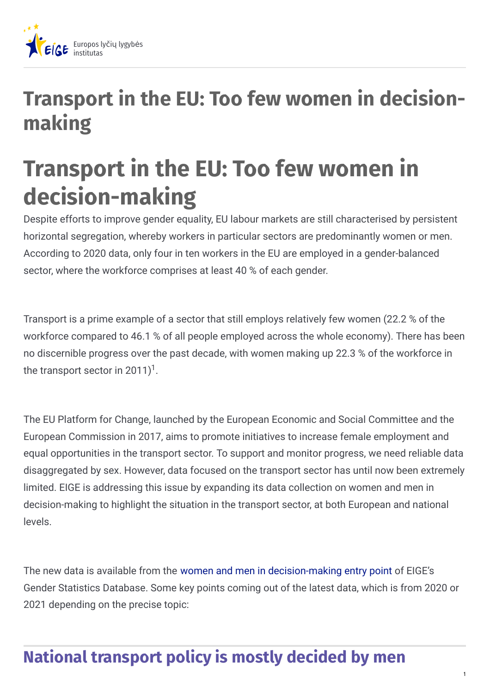

## **Transport in the EU: Too few women in decisionmaking**

# **Transport in the EU: Too few women in decision-making**

Despite efforts to improve gender equality, EU labour markets are still characterised by persistent horizontal segregation, whereby workers in particular sectors are predominantly women or men. According to 2020 data, only four in ten workers in the EU are employed in a gender-balanced sector, where the workforce comprises at least 40 % of each gender.

Transport is a prime example of a sector that still employs relatively few women (22.2 % of the workforce compared to 46.1 % of all people employed across the whole economy). There has been no discernible progress over the past decade, with women making up 22.3 % of the workforce in the transport sector in 2011)<sup>1</sup>.

The EU Platform for Change, launched by the European Economic and Social Committee and the European Commission in 2017, aims to promote initiatives to increase female employment and equal opportunities in the transport sector. To support and monitor progress, we need reliable data disaggregated by sex. However, data focused on the transport sector has until now been extremely limited. EIGE is addressing this issue by expanding its data collection on women and men in decision-making to highlight the situation in the transport sector, at both European and national levels.

The new data is available from the women and men in [decision-making](https://eige.europa.eu/gender-statistics/dgs/browse/wmidm/wmidm_tra) entry point of EIGE's Gender Statistics Database. Some key points coming out of the latest data, which is from 2020 or 2021 depending on the precise topic:

## **National transport policy is mostly decided by men**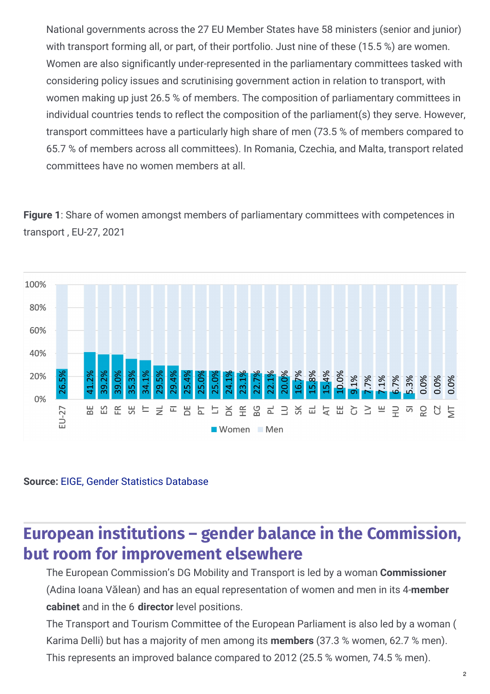National governments across the 27 EU Member States have 58 ministers (senior and junior) with transport forming all, or part, of their portfolio. Just nine of these (15.5 %) are women. Women are also significantly under-represented in the parliamentary committees tasked with considering policy issues and scrutinising government action in relation to transport, with women making up just 26.5 % of members. The composition of parliamentary committees in individual countries tends to reflect the composition of the parliament(s) they serve. However, transport committees have a particularly high share of men (73.5 % of members compared to 65.7 % of members across all committees). In Romania, Czechia, and Malta, transport related committees have no women members at all.

**Figure 1**: Share of women amongst members of parliamentary committees with competences in transport , EU-27, 2021



**Source:** EIGE, Gender Statistics [Database](https://eige.europa.eu/gender-statistics/dgs/indicator/wmidm_tra_nat__wmid_tra_natparlcom)

### **European institutions – gender balance in the Commission, but room for improvement elsewhere**

The European Commission's DG Mobility and Transport is led by a woman **Commissioner** (Adina Ioana Vălean) and has an equal representation of women and men in its 4-**member cabinet** and in the 6 **director** level positions.

The Transport and Tourism Committee of the European Parliament is also led by a woman ( Karima Delli) but has a majority of men among its **members** (37.3 % women, 62.7 % men).

This represents an improved balance compared to 2012 (25.5 % women, 74.5 % men).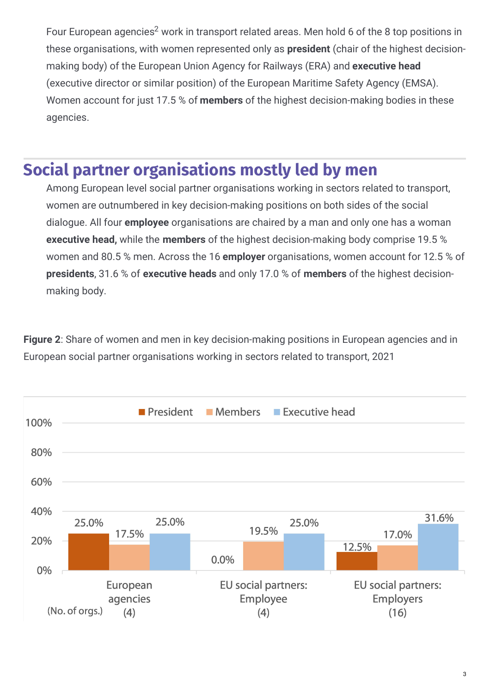Four European agencies<sup>2</sup> work in transport related areas. Men hold 6 of the 8 top positions in these organisations, with women represented only as **president** (chair of the highest decisionmaking body) of the European Union Agency for Railways (ERA) and **executive head** (executive director or similar position) of the European Maritime Safety Agency (EMSA). Women account for just 17.5 % of **members** of the highest decision-making bodies in these agencies.

#### **Social partner organisations mostly led by men**

Among European level social partner organisations working in sectors related to transport, women are outnumbered in key decision-making positions on both sides of the social dialogue. All four **employee** organisations are chaired by a man and only one has a woman **executive head,** while the **members** of the highest decision-making body comprise 19.5 % women and 80.5 % men. Across the 16 **employer** organisations, women account for 12.5 % of **presidents**, 31.6 % of **executive heads** and only 17.0 % of **members** of the highest decisionmaking body.

**Figure 2**: Share of women and men in key decision-making positions in European agencies and in European social partner organisations working in sectors related to transport, 2021